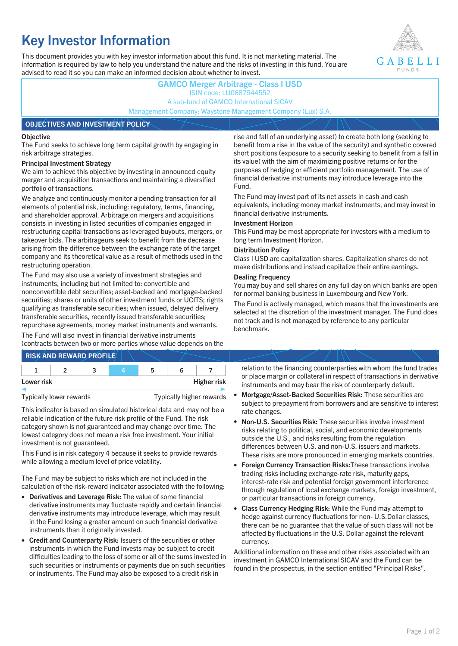# **Key Investor Information**

This document provides you with key investor information about this fund. It is not marketing material. The information is required by law to help you understand the nature and the risks of investing in this fund. You are advised to read it so you can make an informed decision about whether to invest.



## **GAMCO Merger Arbitrage - Class I USD** ISIN code: LU0687944552 A sub-fund of GAMCO International SICAV Management Company: Waystone Management Company (Lux) S.A. **OBJECTIVES AND INVESTMENT POLICY**

#### **Objective**

The Fund seeks to achieve long term capital growth by engaging in risk arbitrage strategies.

#### **Principal Investment Strategy**

We aim to achieve this objective by investing in announced equity merger and acquisition transactions and maintaining a diversified portfolio of transactions.

We analyze and continuously monitor a pending transaction for all elements of potential risk, including: regulatory, terms, financing, and shareholder approval. Arbitrage on mergers and acquisitions consists in investing in listed securities of companies engaged in restructuring capital transactions as leveraged buyouts, mergers, or takeover bids. The arbitrageurs seek to benefit from the decrease arising from the difference between the exchange rate of the target company and its theoretical value as a result of methods used in the restructuring operation.

The Fund may also use a variety of investment strategies and instruments, including but not limited to: convertible and nonconvertible debt securities; asset-backed and mortgage-backed securities; shares or units of other investment funds or UCITS; rights qualifying as transferable securities; when issued, delayed delivery transferable securities, recently issued transferable securities; repurchase agreements, money market instruments and warrants.

The Fund will also invest in financial derivative instruments (contracts between two or more parties whose value depends on the

|            | <b>RISK AND REWARD PROFILE</b> |   |                    |
|------------|--------------------------------|---|--------------------|
|            |                                | ∽ |                    |
| Lower risk |                                |   | <b>Higher risk</b> |

Typically lower rewards Typically higher rewards

This indicator is based on simulated historical data and may not be a reliable indication of the future risk profile of the Fund. The risk category shown is not guaranteed and may change over time. The lowest category does not mean a risk free investment. Your initial investment is not guaranteed.

This Fund is in risk category 4 because it seeks to provide rewards while allowing a medium level of price volatility.

The Fund may be subject to risks which are not included in the calculation of the risk-reward indicator associated with the following:

- **Derivatives and Leverage Risk:** The value of some financial derivative instruments may fluctuate rapidly and certain financial derivative instruments may introduce leverage, which may result in the Fund losing a greater amount on such financial derivative instruments than it originally invested.
- **Credit and Counterparty Risk:** Issuers of the securities or other instruments in which the Fund invests may be subject to credit difficulties leading to the loss of some or all of the sums invested in such securities or instruments or payments due on such securities or instruments. The Fund may also be exposed to a credit risk in

rise and fall of an underlying asset) to create both long (seeking to benefit from a rise in the value of the security) and synthetic covered short positions (exposure to a security seeking to benefit from a fall in its value) with the aim of maximizing positive returns or for the purposes of hedging or efficient portfolio management. The use of financial derivative instruments may introduce leverage into the Fund.

The Fund may invest part of its net assets in cash and cash equivalents, including money market instruments, and may invest in financial derivative instruments.

#### **Investment Horizon**

This Fund may be most appropriate for investors with a medium to long term Investment Horizon.

#### **Distribution Policy**

Class I USD are capitalization shares. Capitalization shares do not make distributions and instead capitalize their entire earnings.

#### **Dealing Frequency**

You may buy and sell shares on any full day on which banks are open for normal banking business in Luxembourg and New York.

The Fund is actively managed, which means that the investments are selected at the discretion of the investment manager. The Fund does not track and is not managed by reference to any particular benchmark.

relation to the financing counterparties with whom the fund trades or place margin or collateral in respect of transactions in derivative instruments and may bear the risk of counterparty default.

- **Mortgage/Asset-Backed Securities Risk:** These securities are subject to prepayment from borrowers and are sensitive to interest rate changes.
- **Non-U.S. Securities Risk:** These securities involve investment risks relating to political, social, and economic developments outside the U.S., and risks resulting from the regulation differences between U.S. and non-U.S. issuers and markets. These risks are more pronounced in emerging markets countries.
- **Foreign Currency Transaction Risks:**These transactions involve trading risks including exchange-rate risk, maturity gaps, interest-rate risk and potential foreign government interference through regulation of local exchange markets, foreign investment, or particular transactions in foreign currency.
- **Class Currency Hedging Risk:** While the Fund may attempt to hedge against currency fluctuations for non- U.S.Dollar classes, there can be no guarantee that the value of such class will not be affected by fluctuations in the U.S. Dollar against the relevant currency.

Additional information on these and other risks associated with an investment in GAMCO International SICAV and the Fund can be found in the prospectus, in the section entitled "Principal Risks".